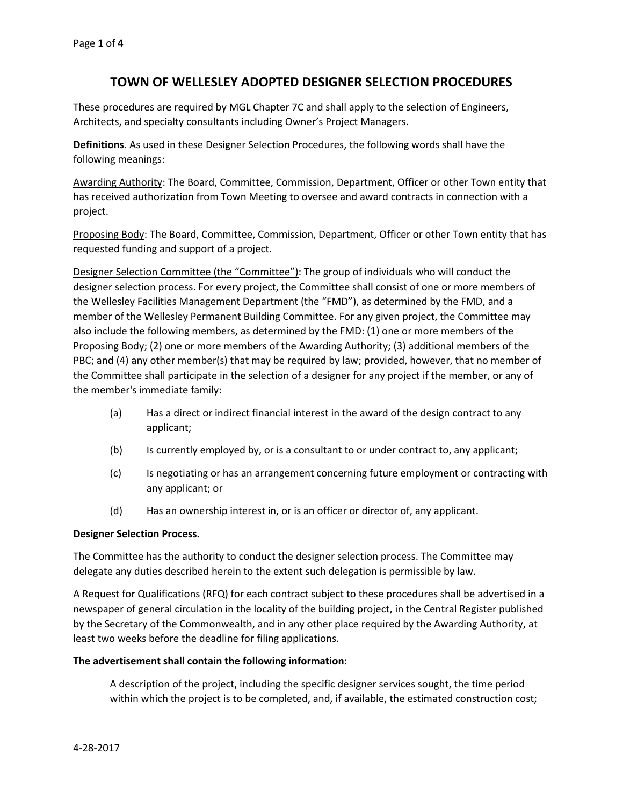# **TOWN OF WELLESLEY ADOPTED DESIGNER SELECTION PROCEDURES**

These procedures are required by MGL Chapter 7C and shall apply to the selection of Engineers, Architects, and specialty consultants including Owner's Project Managers.

**Definitions**. As used in these Designer Selection Procedures, the following words shall have the following meanings:

Awarding Authority: The Board, Committee, Commission, Department, Officer or other Town entity that has received authorization from Town Meeting to oversee and award contracts in connection with a project.

Proposing Body: The Board, Committee, Commission, Department, Officer or other Town entity that has requested funding and support of a project.

Designer Selection Committee (the "Committee"): The group of individuals who will conduct the designer selection process. For every project, the Committee shall consist of one or more members of the Wellesley Facilities Management Department (the "FMD"), as determined by the FMD, and a member of the Wellesley Permanent Building Committee. For any given project, the Committee may also include the following members, as determined by the FMD: (1) one or more members of the Proposing Body; (2) one or more members of the Awarding Authority; (3) additional members of the PBC; and (4) any other member(s) that may be required by law; provided, however, that no member of the Committee shall participate in the selection of a designer for any project if the member, or any of the member's immediate family:

- (a) Has a direct or indirect financial interest in the award of the design contract to any applicant;
- (b) Is currently employed by, or is a consultant to or under contract to, any applicant;
- (c) Is negotiating or has an arrangement concerning future employment or contracting with any applicant; or
- (d) Has an ownership interest in, or is an officer or director of, any applicant.

# **Designer Selection Process.**

The Committee has the authority to conduct the designer selection process. The Committee may delegate any duties described herein to the extent such delegation is permissible by law.

A Request for Qualifications (RFQ) for each contract subject to these procedures shall be advertised in a newspaper of general circulation in the locality of the building project, in the Central Register published by the Secretary of the Commonwealth, and in any other place required by the Awarding Authority, at least two weeks before the deadline for filing applications.

# **The advertisement shall contain the following information:**

A description of the project, including the specific designer services sought, the time period within which the project is to be completed, and, if available, the estimated construction cost;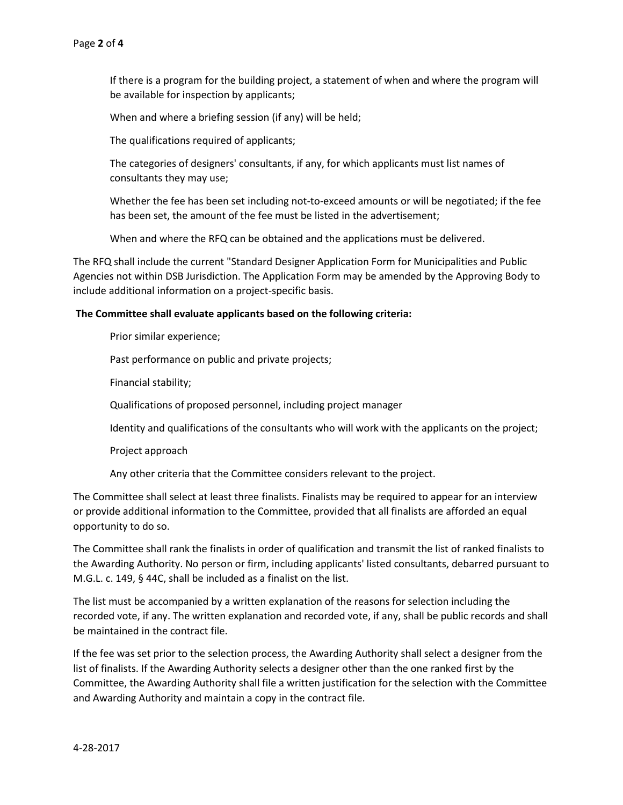If there is a program for the building project, a statement of when and where the program will be available for inspection by applicants;

When and where a briefing session (if any) will be held;

The qualifications required of applicants;

The categories of designers' consultants, if any, for which applicants must list names of consultants they may use;

Whether the fee has been set including not-to-exceed amounts or will be negotiated; if the fee has been set, the amount of the fee must be listed in the advertisement;

When and where the RFQ can be obtained and the applications must be delivered.

The RFQ shall include the current "Standard Designer Application Form for Municipalities and Public Agencies not within DSB Jurisdiction. The Application Form may be amended by the Approving Body to include additional information on a project-specific basis.

### **The Committee shall evaluate applicants based on the following criteria:**

Prior similar experience;

Past performance on public and private projects;

Financial stability;

Qualifications of proposed personnel, including project manager

Identity and qualifications of the consultants who will work with the applicants on the project;

Project approach

Any other criteria that the Committee considers relevant to the project.

The Committee shall select at least three finalists. Finalists may be required to appear for an interview or provide additional information to the Committee, provided that all finalists are afforded an equal opportunity to do so.

The Committee shall rank the finalists in order of qualification and transmit the list of ranked finalists to the Awarding Authority. No person or firm, including applicants' listed consultants, debarred pursuant to M.G.L. c. 149, § 44C, shall be included as a finalist on the list.

The list must be accompanied by a written explanation of the reasons for selection including the recorded vote, if any. The written explanation and recorded vote, if any, shall be public records and shall be maintained in the contract file.

If the fee was set prior to the selection process, the Awarding Authority shall select a designer from the list of finalists. If the Awarding Authority selects a designer other than the one ranked first by the Committee, the Awarding Authority shall file a written justification for the selection with the Committee and Awarding Authority and maintain a copy in the contract file.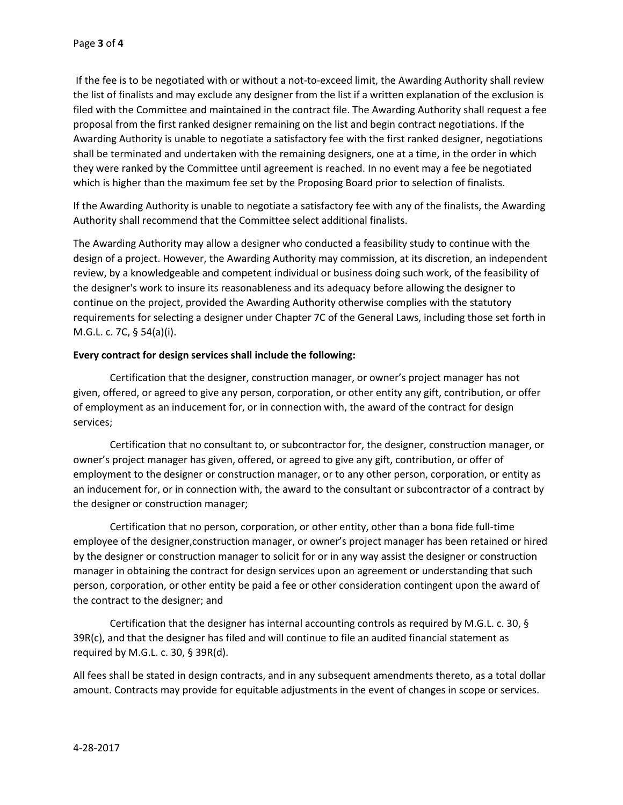If the fee is to be negotiated with or without a not-to-exceed limit, the Awarding Authority shall review the list of finalists and may exclude any designer from the list if a written explanation of the exclusion is filed with the Committee and maintained in the contract file. The Awarding Authority shall request a fee proposal from the first ranked designer remaining on the list and begin contract negotiations. If the Awarding Authority is unable to negotiate a satisfactory fee with the first ranked designer, negotiations shall be terminated and undertaken with the remaining designers, one at a time, in the order in which they were ranked by the Committee until agreement is reached. In no event may a fee be negotiated which is higher than the maximum fee set by the Proposing Board prior to selection of finalists.

If the Awarding Authority is unable to negotiate a satisfactory fee with any of the finalists, the Awarding Authority shall recommend that the Committee select additional finalists.

The Awarding Authority may allow a designer who conducted a feasibility study to continue with the design of a project. However, the Awarding Authority may commission, at its discretion, an independent review, by a knowledgeable and competent individual or business doing such work, of the feasibility of the designer's work to insure its reasonableness and its adequacy before allowing the designer to continue on the project, provided the Awarding Authority otherwise complies with the statutory requirements for selecting a designer under Chapter 7C of the General Laws, including those set forth in M.G.L. c. 7C, § 54(a)(i).

### **Every contract for design services shall include the following:**

Certification that the designer, construction manager, or owner's project manager has not given, offered, or agreed to give any person, corporation, or other entity any gift, contribution, or offer of employment as an inducement for, or in connection with, the award of the contract for design services;

Certification that no consultant to, or subcontractor for, the designer, construction manager, or owner's project manager has given, offered, or agreed to give any gift, contribution, or offer of employment to the designer or construction manager, or to any other person, corporation, or entity as an inducement for, or in connection with, the award to the consultant or subcontractor of a contract by the designer or construction manager;

Certification that no person, corporation, or other entity, other than a bona fide full-time employee of the designer,construction manager, or owner's project manager has been retained or hired by the designer or construction manager to solicit for or in any way assist the designer or construction manager in obtaining the contract for design services upon an agreement or understanding that such person, corporation, or other entity be paid a fee or other consideration contingent upon the award of the contract to the designer; and

Certification that the designer has internal accounting controls as required by M.G.L. c. 30, § 39R(c), and that the designer has filed and will continue to file an audited financial statement as required by M.G.L. c. 30, § 39R(d).

All fees shall be stated in design contracts, and in any subsequent amendments thereto, as a total dollar amount. Contracts may provide for equitable adjustments in the event of changes in scope or services.